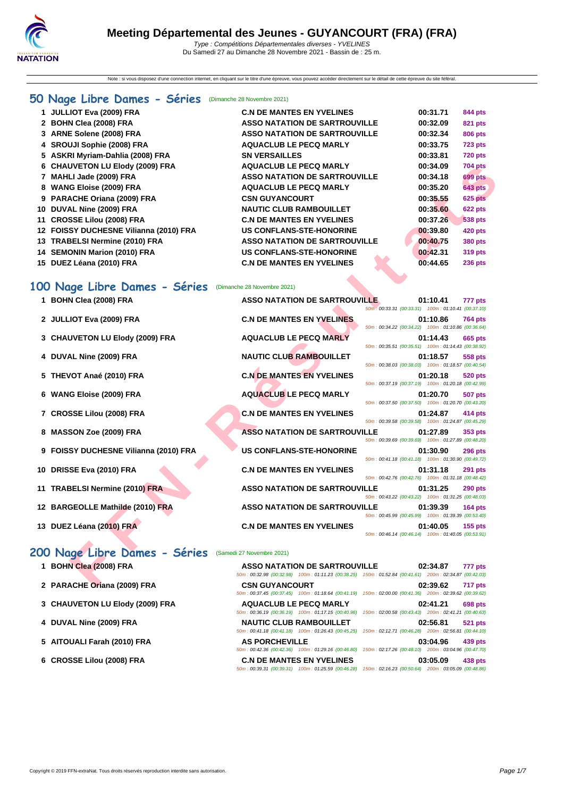Note : si vous disposez d'une connection internet, en cliquant sur le titre d'une épreuve, vous pouvez accéder directement sur le détail de cette épreuve du site féféral.

## **[50 Na](http://www.ffnatation.fr/webffn/index.php)ge Libre Dames - Séries** (Dimanche 28 Novembre 2021)

| 1 JULLIOT Eva (2009) FRA               | <b>C.N DE MANTES EN YVELINES</b>     | 00:31.71 | 844 pts        |
|----------------------------------------|--------------------------------------|----------|----------------|
| 2 BOHN Clea (2008) FRA                 | <b>ASSO NATATION DE SARTROUVILLE</b> | 00:32.09 | <b>821 pts</b> |
| 3 ARNE Solene (2008) FRA               | <b>ASSO NATATION DE SARTROUVILLE</b> | 00:32.34 | 806 pts        |
| 4 SROUJI Sophie (2008) FRA             | <b>AQUACLUB LE PECQ MARLY</b>        | 00:33.75 | <b>723 pts</b> |
| 5 ASKRI Myriam-Dahlia (2008) FRA       | <b>SN VERSAILLES</b>                 | 00:33.81 | <b>720 pts</b> |
| 6 CHAUVETON LU Elody (2009) FRA        | <b>AQUACLUB LE PECQ MARLY</b>        | 00:34.09 | <b>704 pts</b> |
| 7 MAHLI Jade (2009) FRA                | <b>ASSO NATATION DE SARTROUVILLE</b> | 00:34.18 | 699 pts        |
| 8 WANG Eloise (2009) FRA               | <b>AQUACLUB LE PECQ MARLY</b>        | 00:35.20 | <b>643 pts</b> |
| 9 PARACHE Oriana (2009) FRA            | <b>CSN GUYANCOURT</b>                | 00:35.55 | 625 pts        |
| 10 DUVAL Nine (2009) FRA               | <b>NAUTIC CLUB RAMBOUILLET</b>       | 00:35.60 | <b>622 pts</b> |
| 11 CROSSE Lilou (2008) FRA             | <b>C.N DE MANTES EN YVELINES</b>     | 00:37.26 | <b>538 pts</b> |
| 12 FOISSY DUCHESNE Vilianna (2010) FRA | <b>US CONFLANS-STE-HONORINE</b>      | 00:39.80 | 420 pts        |
| 13 TRABELSI Nermine (2010) FRA         | <b>ASSO NATATION DE SARTROUVILLE</b> | 00:40.75 | <b>380 pts</b> |
| 14 SEMONIN Marion (2010) FRA           | <b>US CONFLANS-STE-HONORINE</b>      | 00:42.31 | 319 pts        |
| 15 DUEZ Léana (2010) FRA               | <b>C.N DE MANTES EN YVELINES</b>     | 00:44.65 | <b>236 pts</b> |
|                                        |                                      |          |                |

## **100 Nage Libre Dames - Séries** (Dimanche 28 Novembre 2021)

| 6 CHAUVETON LU Elody (2009) FRA        | AQUACLUB LE PECQ MARLY                                                                                                                  |                                                    | 00:34.09 | 704 pts        |
|----------------------------------------|-----------------------------------------------------------------------------------------------------------------------------------------|----------------------------------------------------|----------|----------------|
| 7 MAHLI Jade (2009) FRA                | <b>ASSO NATATION DE SARTROUVILLE</b>                                                                                                    |                                                    | 00:34.18 | <b>699 pts</b> |
| 8 WANG Eloise (2009) FRA               | <b>AQUACLUB LE PECQ MARLY</b>                                                                                                           |                                                    | 00:35.20 | 643 pts        |
| 9 PARACHE Oriana (2009) FRA            | <b>CSN GUYANCOURT</b>                                                                                                                   |                                                    | 00:35.55 | <b>625 pts</b> |
| 10 DUVAL Nine (2009) FRA               | <b>NAUTIC CLUB RAMBOUILLET</b>                                                                                                          |                                                    | 00:35.60 | <b>622 pts</b> |
| 11 CROSSE Lilou (2008) FRA             | <b>C.N DE MANTES EN YVELINES</b>                                                                                                        |                                                    | 00:37.26 | <b>538 pts</b> |
| 12 FOISSY DUCHESNE Vilianna (2010) FRA | <b>US CONFLANS-STE-HONORINE</b>                                                                                                         |                                                    | 00:39.80 | <b>420 pts</b> |
| 13 TRABELSI Nermine (2010) FRA         | <b>ASSO NATATION DE SARTROUVILLE</b>                                                                                                    |                                                    | 00:40.75 | <b>380 pts</b> |
| 14 SEMONIN Marion (2010) FRA           | <b>US CONFLANS-STE-HONORINE</b>                                                                                                         |                                                    | 00:42.31 | 319 pts        |
| 15 DUEZ Léana (2010) FRA               | <b>C.N DE MANTES EN YVELINES</b>                                                                                                        |                                                    | 00:44.65 | <b>236 pts</b> |
| 00 Nage Libre Dames - Séries           | (Dimanche 28 Novembre 2021)                                                                                                             |                                                    |          |                |
|                                        |                                                                                                                                         |                                                    |          |                |
| 1 BOHN Clea (2008) FRA                 | <b>ASSO NATATION DE SARTROUVILLE</b>                                                                                                    | 50m: 00:33.31 (00:33.31) 100m: 01:10.41 (00:37.10) | 01:10.41 | 777 pts        |
| 2 JULLIOT Eva (2009) FRA               | <b>C.N DE MANTES EN YVELINES</b>                                                                                                        | 50m: 00:34.22 (00:34.22) 100m: 01:10.86 (00:36.64) | 01:10.86 | <b>764 pts</b> |
| 3 CHAUVETON LU Elody (2009) FRA        | <b>AQUACLUB LE PECQ MARLY</b>                                                                                                           |                                                    | 01:14.43 | 665 pts        |
| 4 DUVAL Nine (2009) FRA                | <b>NAUTIC CLUB RAMBOUILLET</b>                                                                                                          | 50m: 00:35.51 (00:35.51) 100m: 01:14.43 (00:38.92) | 01:18.57 | 558 pts        |
|                                        |                                                                                                                                         | 50m: 00:38.03 (00:38.03) 100m: 01:18.57 (00:40.54) |          |                |
| 5 THEVOT Anaé (2010) FRA               | <b>C.N DE MANTES EN YVELINES</b>                                                                                                        | 50m: 00:37.19 (00:37.19) 100m: 01:20.18 (00:42.99) | 01:20.18 | <b>520 pts</b> |
| 6 WANG Eloise (2009) FRA               | <b>AQUACLUB LE PECQ MARLY</b>                                                                                                           |                                                    | 01:20.70 | <b>507 pts</b> |
| 7 CROSSE Lilou (2008) FRA              | <b>C.N DE MANTES EN YVELINES</b>                                                                                                        | 50m: 00:37.50 (00:37.50) 100m: 01:20.70 (00:43.20) | 01:24.87 | 414 pts        |
|                                        |                                                                                                                                         | 50m: 00:39.58 (00:39.58) 100m: 01:24.87 (00:45.29) |          |                |
| 8 MASSON Zoe (2009) FRA                | <b>ASSO NATATION DE SARTROUVILLE</b>                                                                                                    | 50m: 00:39.69 (00:39.69) 100m: 01:27.89 (00:48.20) | 01:27.89 | 353 pts        |
| 9 FOISSY DUCHESNE Vilianna (2010) FRA  | <b>US CONFLANS-STE-HONORINE</b>                                                                                                         |                                                    | 01:30.90 | <b>296 pts</b> |
|                                        |                                                                                                                                         | 50m: 00:41.18 (00:41.18) 100m: 01:30.90 (00:49.72) |          |                |
| 10 DRISSE Eva (2010) FRA               | <b>C.N DE MANTES EN YVELINES</b>                                                                                                        | 50m: 00:42.76 (00:42.76) 100m: 01:31.18 (00:48.42) | 01:31.18 | <b>291 pts</b> |
| 11 TRABELSI Nermine (2010) FRA         | <b>ASSO NATATION DE SARTROUVILLE</b>                                                                                                    |                                                    | 01:31.25 | <b>290 pts</b> |
|                                        |                                                                                                                                         | 50m: 00:43.22 (00:43.22) 100m: 01:31.25 (00:48.03) |          |                |
| 12 BARGEOLLE Mathilde (2010) FRA       | <b>ASSO NATATION DE SARTROUVILLE</b>                                                                                                    | 50m: 00:45.99 (00:45.99) 100m: 01:39.39 (00:53.40) | 01:39.39 | $164$ pts      |
| 13 DUEZ Léana (2010) FRA               | <b>C.N DE MANTES EN YVELINES</b>                                                                                                        |                                                    | 01:40.05 | $155$ pts      |
|                                        |                                                                                                                                         | 50m: 00:46.14 (00:46.14) 100m: 01:40.05 (00:53.91) |          |                |
| 00 Nage Libre Dames - Séries           | (Samedi 27 Novembre 2021)                                                                                                               |                                                    |          |                |
|                                        |                                                                                                                                         |                                                    |          |                |
| 1 BOHN Clea (2008) FRA                 | ASSO NATATION DE SARTROUVILLE<br>50m: 00:32.98 (00:32.98) 100m: 01:11.23 (00:38.25) 150m: 01:52.84 (00:41.61) 200m: 02:34.87 (00:42.03) |                                                    | 02:34.87 | 777 pts        |
| 2 PARACHE Oriana (2009) FRA            | <b>CSN GUYANCOURT</b>                                                                                                                   |                                                    | 02:39.62 | <b>717 pts</b> |
|                                        |                                                                                                                                         |                                                    |          |                |

# **200 Nage Libre Dames - Séries** (Samedi 27 Novembre 2021)

|  | 1 BOHN Clea (2008) FRA |  |
|--|------------------------|--|
|  |                        |  |

- **2 PARACHE Oriana (2009) FRA**
- **3** [CHAUVETON LU Elody \(2009\) FRA](http://www.ffnatation.fr/webffn/resultats.php?idact=nat&go=epr&idcpt=74047&idepr=3)
- **4 DUVAL Nine (2009) FRA**
- **5 AITOUALI Farah (2010) FRA**
- **6 CROSSE Lilou (2008) FRA C.N DE MANTES EN YVELINES 03:05.09 438 pts**

| 1 BOHN Clea (2008) FRA          |                       | <b>ASSO NATATION DE SARTROUVILLE</b><br>50m: 00:32.98 (00:32.98) 100m: 01:11.23 (00:38.25) 150m: 01:52.84 (00:41.61) 200m: 02:34.87 (00:42.03) |                                                     | 02:34.87 | 777 pts        |
|---------------------------------|-----------------------|------------------------------------------------------------------------------------------------------------------------------------------------|-----------------------------------------------------|----------|----------------|
| 2 PARACHE Oriana (2009) FRA     | <b>CSN GUYANCOURT</b> | 50m: 00:37.45 (00:37.45) 100m: 01:18.64 (00:41.19) 150m: 02:00.00 (00:41.36) 200m: 02:39.62 (00:39.62)                                         |                                                     | 02:39.62 | 717 pts        |
| 3 CHAUVETON LU Elody (2009) FRA |                       | <b>AQUACLUB LE PECQ MARLY</b><br>50m: 00:36.19 (00:36.19) 100m: 01:17.15 (00:40.96)                                                            | 150m: 02:00.58 (00:43.43) 200m: 02:41.21 (00:40.63) | 02:41.21 | <b>698 pts</b> |
| 4 DUVAL Nine (2009) FRA         |                       | <b>NAUTIC CLUB RAMBOUILLET</b><br>50m: 00:41.18 (00:41.18) 100m: 01:26.43 (00:45.25) 150m: 02:12.71 (00:46.28) 200m: 02:56.81 (00:44.10)       |                                                     | 02:56.81 | <b>521 pts</b> |
| 5 AITOUALI Farah (2010) FRA     | <b>AS PORCHEVILLE</b> | 50m: 00:42.36 (00:42.36) 100m: 01:29.16 (00:46.80)                                                                                             | 150m: 02:17.26 (00:48.10) 200m: 03:04.96 (00:47.70) | 03:04.96 | 439 pts        |
| 6 CROSSE Lilou (2008) FRA       |                       | <b>C.N DE MANTES EN YVELINES</b><br>50m: 00:39.31 (00:39.31) 100m: 01:25.59 (00:46.28)                                                         | 150m: 02:16.23 (00:50.64) 200m: 03:05.09 (00:48.86) | 03:05.09 | 438 pts        |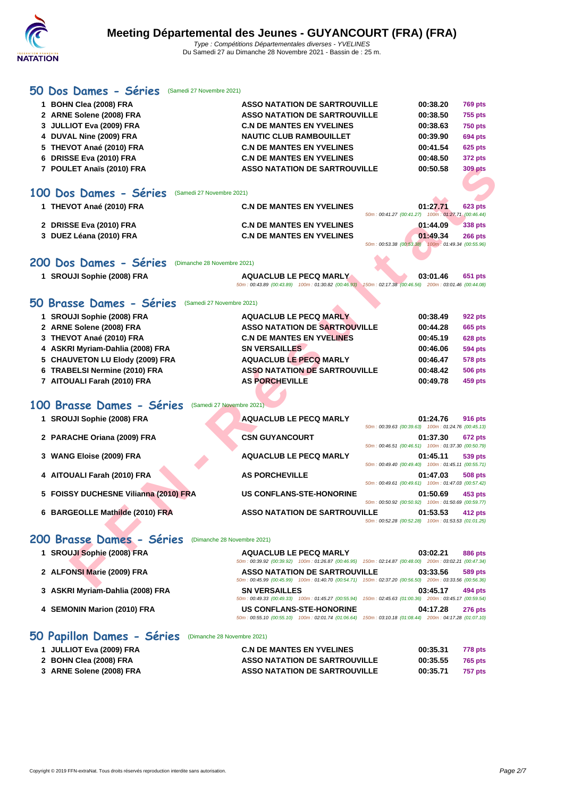

#### **[50 Do](http://www.ffnatation.fr/webffn/index.php)s Dames - Séries** (Samedi 27 Novembre 2021)

| 1 BOHN Clea (2008) FRA    | <b>ASSO NATATION DE SARTROUVILLE</b> | 00:38.20 | <b>769 pts</b> |
|---------------------------|--------------------------------------|----------|----------------|
| 2 ARNE Solene (2008) FRA  | <b>ASSO NATATION DE SARTROUVILLE</b> | 00:38.50 | 755 pts        |
| 3 JULLIOT Eva (2009) FRA  | <b>C.N DE MANTES EN YVELINES</b>     | 00:38.63 | <b>750 pts</b> |
| 4 DUVAL Nine (2009) FRA   | <b>NAUTIC CLUB RAMBOUILLET</b>       | 00:39.90 | 694 pts        |
| 5 THEVOT Anaé (2010) FRA  | <b>C.N DE MANTES EN YVELINES</b>     | 00:41.54 | 625 pts        |
| 6 DRISSE Eva (2010) FRA   | <b>C.N DE MANTES EN YVELINES</b>     | 00:48.50 | 372 pts        |
| 7 POULET Anaïs (2010) FRA | <b>ASSO NATATION DE SARTROUVILLE</b> | 00:50.58 | <b>309 pts</b> |
|                           |                                      |          |                |

#### **100 Dos Dames - Séries** (Samedi 27 Novembre 2021)

| 1 THEVOT Anaé (2010) FRA | <b>C.N DE MANTES EN YVELINES</b> | 01:27.71<br><b>623 pts</b>                         |
|--------------------------|----------------------------------|----------------------------------------------------|
|                          |                                  | 50m: 00:41.27 (00:41.27) 100m: 01:27.71 (00:46.44) |
| 2 DRISSE Eva (2010) FRA  | <b>C.N DE MANTES EN YVELINES</b> | 01:44.09<br>338 pts                                |
| 3 DUEZ Léana (2010) FRA  | <b>C.N DE MANTES EN YVELINES</b> | 01:49.34<br><b>266 pts</b>                         |
|                          |                                  | 50m: 00:53.38 (00:53.38) 100m: 01:49.34 (00:55.96) |

#### **200 Dos Dames - Séries** (Dimanche 28 Novembre 2021)

#### **1 SROUJI Sophie (2008) FRA AQUACLUB LE PECQ MARLY 03:01.46 651 pts**

#### **50 Brasse Dames - Séries** (Samedi 27 Novembre 2021)

| 1 SROUJI Sophie (2008) FRA       | <b>AQUACLUB LE PECQ MARLY</b>        | 00:38.49 | 922 pts        |
|----------------------------------|--------------------------------------|----------|----------------|
| 2 ARNE Solene (2008) FRA         | <b>ASSO NATATION DE SARTROUVILLE</b> | 00:44.28 | <b>665 pts</b> |
| 3 THEVOT Anaé (2010) FRA         | <b>C.N DE MANTES EN YVELINES</b>     | 00:45.19 | <b>628 pts</b> |
| 4 ASKRI Myriam-Dahlia (2008) FRA | <b>SN VERSAILLES</b>                 | 00:46.06 | 594 pts        |
| 5 CHAUVETON LU Elody (2009) FRA  | <b>AQUACLUB LE PECQ MARLY</b>        | 00:46.47 | 578 pts        |
| 6 TRABELSI Nermine (2010) FRA    | <b>ASSO NATATION DE SARTROUVILLE</b> | 00:48.42 | 506 pts        |
| 7 AITOUALI Farah (2010) FRA      | <b>AS PORCHEVILLE</b>                | 00:49.78 | 459 pts        |

## **100 Brasse Dames - Séries** (Samedi 27 Novembre 2021)

| 7 POULET Anaïs (2010) FRA             | <b>ASSO NATATION DE SARTROUVILLE</b>                                                                                                               | 00:50.58                                                       | <b>309 pts</b> |
|---------------------------------------|----------------------------------------------------------------------------------------------------------------------------------------------------|----------------------------------------------------------------|----------------|
| Dos Dames - Séries<br>00              | (Samedi 27 Novembre 2021)                                                                                                                          |                                                                |                |
| 1 THEVOT Anaé (2010) FRA              | <b>C.N DE MANTES EN YVELINES</b>                                                                                                                   | 01:27.71<br>50m: 00:41.27 (00:41.27) 100m: 01:27.71 (00:46.44) | 623 pts        |
| 2 DRISSE Eva (2010) FRA               | <b>C.N DE MANTES EN YVELINES</b>                                                                                                                   | 01:44.09                                                       | 338 pts        |
| 3 DUEZ Léana (2010) FRA               | <b>C.N DE MANTES EN YVELINES</b>                                                                                                                   | 01:49.34<br>50m: 00:53.38 (00:53.38) 100m: 01:49.34 (00:55.96) | <b>266 pts</b> |
| <b>200 Dos Dames - Séries</b>         | (Dimanche 28 Novembre 2021)                                                                                                                        |                                                                |                |
| 1 SROUJI Sophie (2008) FRA            | <b>AQUACLUB LE PECQ MARLY</b><br>50m : 00:43.89 (00:43.89) 100m : 01:30.82 (00:46.93) 150m : 02:17.38 (00:46.56) 200m : 03:01.46 (00:44.08)        | 03:01.46                                                       | 651 pts        |
| 50 Brasse Dames - Séries              | (Samedi 27 Novembre 2021)                                                                                                                          |                                                                |                |
| 1 SROUJI Sophie (2008) FRA            | <b>AQUACLUB LE PECQ MARLY</b>                                                                                                                      | 00:38.49                                                       | 922 pts        |
| 2 ARNE Solene (2008) FRA              | <b>ASSO NATATION DE SARTROUVILLE</b>                                                                                                               | 00:44.28                                                       | 665 pts        |
| 3 THEVOT Anaé (2010) FRA              | <b>C.N DE MANTES EN YVELINES</b>                                                                                                                   | 00:45.19                                                       | 628 pts        |
| 4 ASKRI Myriam-Dahlia (2008) FRA      | <b>SN VERSAILLES</b>                                                                                                                               | 00:46.06                                                       | 594 pts        |
| 5 CHAUVETON LU Elody (2009) FRA       | <b>AQUACLUB LE PECQ MARLY</b>                                                                                                                      | 00:46.47                                                       | 578 pts        |
| 6 TRABELSI Nermine (2010) FRA         | <b>ASSO NATATION DE SARTROUVILLE</b>                                                                                                               | 00:48.42                                                       | 506 pts        |
| 7 AITOUALI Farah (2010) FRA           | <b>AS PORCHEVILLE</b>                                                                                                                              | 00:49.78                                                       | 459 pts        |
| 00 Brasse Dames - Séries              | (Samedi 27 Novembre 2021)                                                                                                                          |                                                                |                |
| 1 SROUJI Sophie (2008) FRA            | <b>AQUACLUB LE PECQ MARLY</b>                                                                                                                      | 01:24.76<br>50m: 00:39.63 (00:39.63) 100m: 01:24.76 (00:45.13) | <b>916 pts</b> |
| 2 PARACHE Oriana (2009) FRA           | <b>CSN GUYANCOURT</b>                                                                                                                              | 01:37.30<br>50m: 00:46.51 (00:46.51) 100m: 01:37.30 (00:50.79) | 672 pts        |
| 3 WANG Eloise (2009) FRA              | <b>AQUACLUB LE PECQ MARLY</b>                                                                                                                      | 01:45.11<br>50m: 00:49.40 (00:49.40) 100m: 01:45.11 (00:55.71) | 539 pts        |
| 4 AITOUALI Farah (2010) FRA           | <b>AS PORCHEVILLE</b>                                                                                                                              | 01:47.03<br>50m: 00:49.61 (00:49.61) 100m: 01:47.03 (00:57.42) | 508 pts        |
| 5 FOISSY DUCHESNE Vilianna (2010) FRA | <b>US CONFLANS-STE-HONORINE</b>                                                                                                                    | 01:50.69<br>50m: 00:50.92 (00:50.92) 100m: 01:50.69 (00:59.77) | 453 pts        |
| 6 BARGEOLLE Mathilde (2010) FRA       | <b>ASSO NATATION DE SARTROUVILLE</b>                                                                                                               | 01:53.53<br>50m: 00:52.28 (00:52.28) 100m: 01:53.53 (01:01.25) | 412 pts        |
| 200 Brasse Dames - Séries             | (Dimanche 28 Novembre 2021)                                                                                                                        |                                                                |                |
| 1 SROUJI Sophie (2008) FRA            | <b>AQUACLUB LE PECQ MARLY</b><br>50m : 00:39.92 (00:39.92) 100m : 01:26.87 (00:46.95) 150m : 02:14.87 (00:48.00) 200m : 03:02.21 (00:47.34)        | 03:02.21                                                       | 886 pts        |
| 2 ALFONSI Marie (2009) FRA            | <b>ASSO NATATION DE SARTROUVILLE</b><br>50m : 00:45.99 (00:45.99) 100m : 01:40.70 (00:54.71) 150m : 02:37.20 (00:56.50) 200m : 03:33.56 (00:56.36) | 03:33.56                                                       | 589 pts        |
|                                       |                                                                                                                                                    |                                                                |                |

### **200 Brasse Dames - Séries** (Dimanche 28 Novembre 2021)

| 1 SROUJI Sophie (2008) FRA       | <b>AQUACLUB LE PECQ MARLY</b>        | 03:02.21<br>886 pts                                                                                    |
|----------------------------------|--------------------------------------|--------------------------------------------------------------------------------------------------------|
|                                  |                                      | 50m: 00:39.92 (00:39.92) 100m: 01:26.87 (00:46.95) 150m: 02:14.87 (00:48.00) 200m: 03:02.21 (00:47.34) |
| 2 ALFONSI Marie (2009) FRA       | <b>ASSO NATATION DE SARTROUVILLE</b> | 03:33.56<br>589 pts                                                                                    |
|                                  |                                      | 50m: 00:45.99 (00:45.99) 100m: 01:40.70 (00:54.71) 150m: 02:37.20 (00:56.50) 200m: 03:33.56 (00:56.36) |
| 3 ASKRI Myriam-Dahlia (2008) FRA | <b>SN VERSAILLES</b>                 | 03:45.17<br>494 pts                                                                                    |
|                                  | 50m: 00:49.33 (00:49.33)             | 100m: 01:45.27 (00:55.94) 150m: 02:45.63 (01:00.36) 200m: 03:45.17 (00:59.54)                          |
| 4 SEMONIN Marion (2010) FRA      | US CONFLANS-STE-HONORINE             | 04:17.28<br><b>276 pts</b>                                                                             |
|                                  |                                      | 50m: 00:55.10 (00:55.10) 100m: 02:01.74 (01:06.64) 150m: 03:10.18 (01:08.44) 200m: 04:17.28 (01:07.10) |
|                                  |                                      |                                                                                                        |

#### **50 Papillon Dames - Séries** (Dimanche 28 Novembre 2021)

| 1 JULLIOT Eva (2009) FRA | <b>C.N DE MANTES EN YVELINES</b>     | 00:35.31 | 778 pts        |
|--------------------------|--------------------------------------|----------|----------------|
| 2 BOHN Clea (2008) FRA   | <b>ASSO NATATION DE SARTROUVILLE</b> | 00:35.55 | <b>765 pts</b> |
| 3 ARNE Solene (2008) FRA | ASSO NATATION DE SARTROUVILLE        | 00:35.71 | <b>757 pts</b> |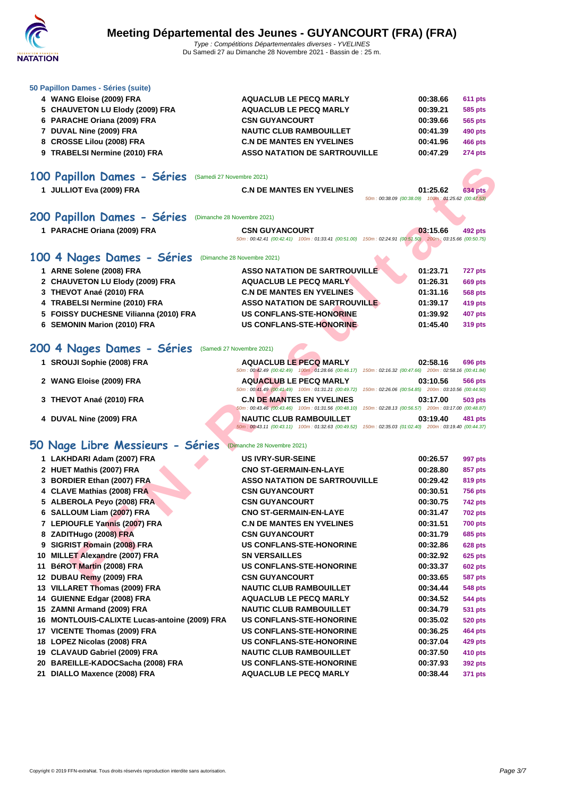

| 50 Papillon Dames - Séries (suite) |                                      |          |                |
|------------------------------------|--------------------------------------|----------|----------------|
| <b>WANG Eloise (2009) FRA</b><br>4 | <b>AQUACLUB LE PECQ MARLY</b>        | 00:38.66 | <b>611 pts</b> |
| 5 CHAUVETON LU Elody (2009) FRA    | <b>AQUACLUB LE PECQ MARLY</b>        | 00:39.21 | 585 pts        |
| 6 PARACHE Oriana (2009) FRA        | <b>CSN GUYANCOURT</b>                | 00:39.66 | 565 pts        |
| 7 DUVAL Nine (2009) FRA            | <b>NAUTIC CLUB RAMBOUILLET</b>       | 00:41.39 | 490 pts        |
| 8 CROSSE Lilou (2008) FRA          | <b>C.N DE MANTES EN YVELINES</b>     | 00:41.96 | 466 pts        |
| 9 TRABELSI Nermine (2010) FRA      | <b>ASSO NATATION DE SARTROUVILLE</b> | 00:47.29 | <b>274 pts</b> |
|                                    |                                      |          |                |

# 100 Papillon Dames - Séries (Samedi 27 Novembre 2021)<br>1 JULLIOT Eva (2009) FRA C.N DE

## **200 Papillon Dames - Séries** (Dimanche 28 Novembre 2021)

| 1 PARACHE Oriana (2009) FRA | <b>CSN GUYANCOURT</b> | 03:15.66<br>492 pts                                                                                    |
|-----------------------------|-----------------------|--------------------------------------------------------------------------------------------------------|
|                             |                       | 50m: 00:42.41 (00:42.41) 100m: 01:33.41 (00:51.00) 150m: 02:24.91 (00:51.50) 200m: 03:15.66 (00:50.75) |

#### 100 4 Nages Dames - Séries (Dimanche 28 Novembre 2021)

| 1 ARNE Solene (2008) FRA              | <b>ASSO NATATION DE SARTROUVILLE.</b> | 01:23.71 | 727 pts        |
|---------------------------------------|---------------------------------------|----------|----------------|
| 2 CHAUVETON LU Elody (2009) FRA       | <b>AQUACLUB LE PECQ MARLY</b>         | 01:26.31 | <b>669 pts</b> |
| 3 THEVOT Anaé (2010) FRA              | <b>C.N DE MANTES EN YVELINES</b>      | 01:31.16 | <b>568 pts</b> |
| 4 TRABELSI Nermine (2010) FRA         | <b>ASSO NATATION DE SARTROUVILLE</b>  | 01:39.17 | 419 pts        |
| 5 FOISSY DUCHESNE Vilianna (2010) FRA | US CONFLANS-STE-HONORINE              | 01:39.92 | 407 pts        |
| 6 SEMONIN Marion (2010) FRA           | US CONFLANS-STE-HONORINE              | 01:45.40 | 319 pts        |
|                                       |                                       |          |                |

## **200 4 Nages Dames - Séries** (Samedi 27 Novembre 2021)

| 1 SROUJI Sophie (2008) FRA | <b>AQUACLUB LE PECQ MARLY</b>                                                                                                           | 02:58.16<br><b>696 pts</b> |
|----------------------------|-----------------------------------------------------------------------------------------------------------------------------------------|----------------------------|
|                            | 50m: 00:42.49 (00:42.49) 100m: 01:28.66 (00:46.17) 150m: 02:16.32 (00:47.66) 200m: 02:58.16 (00:41.84)                                  |                            |
| 2 WANG Eloise (2009) FRA   | <b>AQUACLUB LE PECQ MARLY</b><br>50m: 00:41.49 (00:41.49) 100m: 01:31.21 (00:49.72) 150m: 02:26.06 (00:54.85) 200m: 03:10.56 (00:44.50) | <b>566 pts</b><br>03:10.56 |
| 3 THEVOT Anaé (2010) FRA   | <b>C.N DE MANTES EN YVELINES</b>                                                                                                        | 03:17.00<br>503 pts        |
|                            | 50m: 00:43.46 (00:43.46) 100m: 01:31.56 (00:48.10) 150m: 02:28.13 (00:56.57) 200m: 03:17.00 (00:48.87)                                  |                            |
| 4 DUVAL Nine (2009) FRA    | <b>NAUTIC CLUB RAMBOUILLET</b>                                                                                                          | 481 pts<br>03:19.40        |
|                            | 50m: 00:43.11 (00:43.11) 100m: 01:32.63 (00:49.52) 150m: 02:35.03 (01:02.40) 200m: 03:19.40 (00:44.37)                                  |                            |

## **50 Nage Libre Messieurs - Séries** (Dimanche 28 Novembre 2021)

| 00 Papillon Dames - Séries (Samedi 27 Novembre 2021) |                                                                                                                                             |                                                                           |
|------------------------------------------------------|---------------------------------------------------------------------------------------------------------------------------------------------|---------------------------------------------------------------------------|
| 1 JULLIOT Eva (2009) FRA                             | <b>C.N DE MANTES EN YVELINES</b>                                                                                                            | 01:25.62<br>634 pts<br>50m: 00:38.09 (00:38.09) 100m: 01:25.62 (00:47.53) |
| 00 Papillon Dames - Séries                           | (Dimanche 28 Novembre 2021)                                                                                                                 |                                                                           |
| 1 PARACHE Oriana (2009) FRA                          | <b>CSN GUYANCOURT</b>                                                                                                                       | 03:15.66<br>492 pts                                                       |
|                                                      | 50m: 00:42.41 (00:42.41) 100m: 01:33.41 (00:51.00) 150m: 02:24.91 (00:51.50) 200m: 03:15.66 (00:50.75)                                      |                                                                           |
| 00 4 Nages Dames - Séries                            | (Dimanche 28 Novembre 2021)                                                                                                                 |                                                                           |
| 1 ARNE Solene (2008) FRA                             | <b>ASSO NATATION DE SARTROUVILLE</b>                                                                                                        | 01:23.71                                                                  |
| 2 CHAUVETON LU Elody (2009) FRA                      | <b>AQUACLUB LE PECQ MARLY</b>                                                                                                               | 727 pts<br>01:26.31                                                       |
|                                                      |                                                                                                                                             | 669 pts                                                                   |
| 3 THEVOT Anaé (2010) FRA                             | <b>C.N DE MANTES EN YVELINES</b>                                                                                                            | 01:31.16<br>568 pts                                                       |
| 4 TRABELSI Nermine (2010) FRA                        | <b>ASSO NATATION DE SARTROUVILLE</b>                                                                                                        | 01:39.17<br>419 pts                                                       |
| 5 FOISSY DUCHESNE Vilianna (2010) FRA                | <b>US CONFLANS-STE-HONORINE</b>                                                                                                             | 01:39.92<br>407 pts                                                       |
| 6 SEMONIN Marion (2010) FRA                          | US CONFLANS-STE-HONORINE                                                                                                                    | 01:45.40<br>319 pts                                                       |
| 00 4 Nages Dames - Séries                            | (Samedi 27 Novembre 2021)                                                                                                                   |                                                                           |
| 1 SROUJI Sophie (2008) FRA                           | <b>AQUACLUB LE PECQ MARLY</b><br>50m : 00:42.49 (00:42.49) 100m : 01:28.66 (00:46.17) 150m : 02:16.32 (00:47.66) 200m : 02:58.16 (00:41.84) | 02:58.16<br>696 pts                                                       |
| 2 WANG Eloise (2009) FRA                             | <b>AQUACLUB LE PECQ MARLY</b>                                                                                                               | 03:10.56<br>566 pts                                                       |
|                                                      | 50m : 00:41.49 (00:41.49) 100m : 01:31.21 (00:49.72) 150m : 02:26.06 (00:54.85) 200m : 03:10.56 (00:44.50)                                  |                                                                           |
| 3 THEVOT Anaé (2010) FRA                             | <b>C.N DE MANTES EN YVELINES</b><br>50m: 00:43.46 (00:43.46) 100m: 01:31.56 (00:48.10) 150m: 02:28.13 (00:56.57) 200m: 03:17.00 (00:48.87)  | 03:17.00<br>503 pts                                                       |
| 4 DUVAL Nine (2009) FRA                              | <b>NAUTIC CLUB RAMBOUILLET</b>                                                                                                              | 03:19.40<br>481 pts                                                       |
|                                                      | 50m : 00:43.11 (00:43.11) 100m : 01:32.63 (00:49.52) 150m : 02:35.03 (01:02.40) 200m : 03:19.40 (00:44.37)                                  |                                                                           |
| 0 Nage Libre Messieurs - Séries                      | (Dimanche 28 Novembre 2021)                                                                                                                 |                                                                           |
| 1 LAKHDARI Adam (2007) FRA                           | <b>US IVRY-SUR-SEINE</b>                                                                                                                    | 00:26.57<br>997 pts                                                       |
| 2 HUET Mathis (2007) FRA                             | <b>CNO ST-GERMAIN-EN-LAYE</b>                                                                                                               | 00:28.80<br>857 pts                                                       |
| 3 BORDIER Ethan (2007) FRA                           | <b>ASSO NATATION DE SARTROUVILLE</b>                                                                                                        | 00:29.42<br>819 pts                                                       |
| 4 CLAVE Mathias (2008) FRA                           | <b>CSN GUYANCOURT</b>                                                                                                                       | 00:30.51<br><b>756 pts</b>                                                |
| 5 ALBEROLA Peyo (2008) FRA                           | <b>CSN GUYANCOURT</b>                                                                                                                       | 00:30.75<br><b>742 pts</b>                                                |
| 6 SALLOUM Liam (2007) FRA                            | <b>CNO ST-GERMAIN-EN-LAYE</b>                                                                                                               | 00:31.47<br><b>702 pts</b>                                                |
| 7 LEPIOUFLE Yannis (2007) FRA                        | <b>C.N DE MANTES EN YVELINES</b>                                                                                                            | 00:31.51<br><b>700 pts</b>                                                |
| 8 ZADITHugo (2008) FRA                               | <b>CSN GUYANCOURT</b>                                                                                                                       | 00:31.79<br><b>685 pts</b>                                                |
| 9 SIGRIST Romain (2008) FRA                          | <b>US CONFLANS-STE-HONORINE</b>                                                                                                             | 00:32.86<br><b>628 pts</b>                                                |
| 10 MILLET Alexandre (2007) FRA                       | <b>SN VERSAILLES</b>                                                                                                                        | 00:32.92<br>625 pts                                                       |
| 11 BéROT Martin (2008) FRA                           | <b>US CONFLANS-STE-HONORINE</b>                                                                                                             | 00:33.37<br><b>602 pts</b>                                                |
| 12 DUBAU Remy (2009) FRA                             | <b>CSN GUYANCOURT</b>                                                                                                                       | 00:33.65<br><b>587 pts</b>                                                |
| 13 VILLARET Thomas (2009) FRA                        | <b>NAUTIC CLUB RAMBOUILLET</b>                                                                                                              | 00:34.44<br>548 pts                                                       |
| 14 GUIENNE Edgar (2008) FRA                          | <b>AQUACLUB LE PECQ MARLY</b>                                                                                                               | 00:34.52<br><b>544 pts</b>                                                |
| 15 ZAMNI Armand (2009) FRA                           | <b>NAUTIC CLUB RAMBOUILLET</b>                                                                                                              | 00:34.79<br><b>531 pts</b>                                                |
| 16 MONTLOUIS-CALIXTE Lucas-antoine (2009) FRA        | <b>US CONFLANS-STE-HONORINE</b>                                                                                                             | 00:35.02<br><b>520 pts</b>                                                |
| 17 VICENTE Thomas (2009) FRA                         | <b>US CONFLANS-STE-HONORINE</b>                                                                                                             | 00:36.25<br><b>464 pts</b>                                                |
| 18 LOPEZ Nicolas (2008) FRA                          | <b>US CONFLANS-STE-HONORINE</b>                                                                                                             | 00:37.04<br><b>429 pts</b>                                                |
| 19 CLAVAUD Gabriel (2009) FRA                        | <b>NAUTIC CLUB RAMBOUILLET</b>                                                                                                              | 00:37.50                                                                  |
|                                                      |                                                                                                                                             | 410 pts                                                                   |
| 20 BAREILLE-KADOCSacha (2008) FRA                    | US CONFLANS-STE-HONORINE                                                                                                                    | 00:37.93<br>392 pts                                                       |
| 21 DIALLO Maxence (2008) FRA                         | <b>AQUACLUB LE PECQ MARLY</b>                                                                                                               | 00:38.44<br>371 pts                                                       |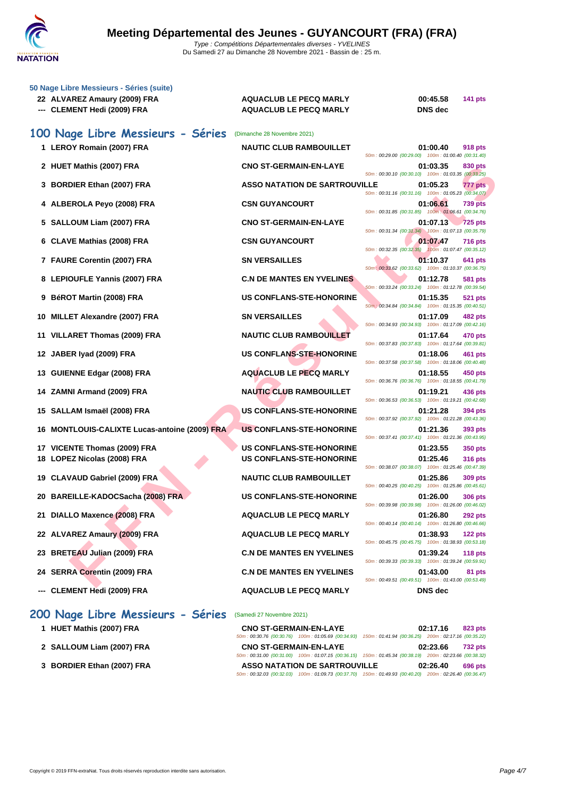

| 50 Nage Libre Messieurs - Séries (suite)<br>22 ALVAREZ Amaury (2009) FRA<br>--- CLEMENT Hedi (2009) FRA | <b>AQUACLUB LE PECQ MARLY</b><br><b>AQUACLUB LE PECQ MARLY</b>     | 00:45.58<br><b>141 pts</b><br><b>DNS</b> dec                                     |
|---------------------------------------------------------------------------------------------------------|--------------------------------------------------------------------|----------------------------------------------------------------------------------|
| 100 Nage Libre Messieurs - Séries                                                                       | (Dimanche 28 Novembre 2021)                                        |                                                                                  |
| 1 LEROY Romain (2007) FRA                                                                               | <b>NAUTIC CLUB RAMBOUILLET</b>                                     | 01:00.40<br><b>918 pts</b><br>50m: 00:29.00 (00:29.00) 100m: 01:00.40 (00:31.40) |
| 2 HUET Mathis (2007) FRA                                                                                | <b>CNO ST-GERMAIN-EN-LAYE</b>                                      | 01:03.35<br>830 pts<br>50m: 00:30.10 (00:30.10) 100m: 01:03.35 (00:33.25)        |
| 3 BORDIER Ethan (2007) FRA                                                                              | <b>ASSO NATATION DE SARTROUVILLE</b>                               | 01:05.23<br>777 pts<br>50m: 00:31.16 (00:31.16) 100m: 01:05.23 (00:34.07)        |
| 4 ALBEROLA Peyo (2008) FRA                                                                              | <b>CSN GUYANCOURT</b>                                              | 01:06.61<br><b>739 pts</b>                                                       |
| 5 SALLOUM Liam (2007) FRA                                                                               | <b>CNO ST-GERMAIN-EN-LAYE</b>                                      | 50m: 00:31.85 (00:31.85) 100m: 01:06.61 (00:34.76)<br>01:07.13<br><b>725 pts</b> |
| 6 CLAVE Mathias (2008) FRA                                                                              | <b>CSN GUYANCOURT</b>                                              | 50m: 00:31.34 (00:31.34) 100m: 01:07.13 (00:35.79)<br>01:07.47<br><b>716 pts</b> |
| 7 FAURE Corentin (2007) FRA                                                                             | <b>SN VERSAILLES</b>                                               | 50m: 00:32.35 (00:32.35) 100m: 01:07.47 (00:35.12)<br>01:10.37<br>641 pts        |
| 8 LEPIOUFLE Yannis (2007) FRA                                                                           | <b>C.N DE MANTES EN YVELINES</b>                                   | 50m : 00:33.62 (00:33.62) 100m : 01:10.37 (00:36.75)<br>01:12.78<br>581 pts      |
| BéROT Martin (2008) FRA<br>9                                                                            | <b>US CONFLANS-STE-HONORINE</b>                                    | 50m: 00:33.24 (00:33.24) 100m: 01:12.78 (00:39.54)<br>01:15.35<br>521 pts        |
| 10 MILLET Alexandre (2007) FRA                                                                          | <b>SN VERSAILLES</b>                                               | 50m : 00:34.84 (00:34.84) 100m : 01:15.35 (00:40.51)<br>01:17.09<br>482 pts      |
| VILLARET Thomas (2009) FRA<br>11                                                                        | <b>NAUTIC CLUB RAMBOUILLET</b>                                     | 50m: 00:34.93 (00:34.93) 100m: 01:17.09 (00:42.16)<br>01:17.64<br>470 pts        |
| 12 JABER Iyad (2009) FRA                                                                                | <b>US CONFLANS-STE-HONORINE</b>                                    | 50m: 00:37.83 (00:37.83) 100m: 01:17.64 (00:39.81)<br>01:18.06<br>461 pts        |
| 13 GUIENNE Edgar (2008) FRA                                                                             | <b>AQUACLUB LE PECQ MARLY</b>                                      | 50m: 00:37.58 (00:37.58) 100m: 01:18.06 (00:40.48)<br>01:18.55<br>450 pts        |
|                                                                                                         |                                                                    | 50m: 00:36.76 (00:36.76) 100m: 01:18.55 (00:41.79)                               |
| ZAMNI Armand (2009) FRA<br>14                                                                           | <b>NAUTIC CLUB RAMBOUILLET</b>                                     | 01:19.21<br>436 pts<br>50m: 00:36.53 (00:36.53) 100m: 01:19.21 (00:42.68)        |
| SALLAM Ismaël (2008) FRA<br>15                                                                          | <b>US CONFLANS-STE-HONORINE</b>                                    | 01:21.28<br>394 pts<br>50m: 00:37.92 (00:37.92) 100m: 01:21.28 (00:43.36)        |
| 16 MONTLOUIS-CALIXTE Lucas-antoine (2009) FRA                                                           | <b>US CONFLANS-STE-HONORINE</b>                                    | 01:21.36<br>393 pts<br>50m: 00:37.41 (00:37.41) 100m: 01:21.36 (00:43.95)        |
| <b>VICENTE Thomas (2009) FRA</b><br>17<br>18 LOPEZ Nicolas (2008) FRA                                   | <b>US CONFLANS-STE-HONORINE</b><br><b>US CONFLANS-STE-HONORINE</b> | 01:23.55<br><b>350 pts</b><br>01:25.46<br><b>316 pts</b>                         |
|                                                                                                         |                                                                    | 50m: 00:38.07 (00:38.07) 100m: 01:25.46 (00:47.39)                               |
| 19 CLAVAUD Gabriel (2009) FRA                                                                           | <b>NAUTIC CLUB RAMBOUILLET</b>                                     | 01:25.86<br><b>309 pts</b><br>50m: 00:40.25 (00:40.25) 100m: 01:25.86 (00:45.61) |
| 20 BAREILLE-KADOCSacha (2008) FRA                                                                       | <b>US CONFLANS-STE-HONORINE</b>                                    | 01:26.00<br><b>306 pts</b><br>50m: 00:39.98 (00:39.98) 100m: 01:26.00 (00:46.02) |
| 21 DIALLO Maxence (2008) FRA                                                                            | <b>AQUACLUB LE PECQ MARLY</b>                                      | 01:26.80<br><b>292 pts</b><br>50m: 00:40.14 (00:40.14) 100m: 01:26.80 (00:46.66) |
| 22 ALVAREZ Amaury (2009) FRA                                                                            | <b>AQUACLUB LE PECQ MARLY</b>                                      | 01:38.93<br>122 pts<br>50m: 00:45.75 (00:45.75) 100m: 01:38.93 (00:53.18)        |
| 23 BRETEAU Julian (2009) FRA                                                                            | <b>C.N DE MANTES EN YVELINES</b>                                   | 01:39.24<br><b>118 pts</b><br>50m: 00:39.33 (00:39.33) 100m: 01:39.24 (00:59.91) |
| 24 SERRA Corentin (2009) FRA                                                                            | <b>C.N DE MANTES EN YVELINES</b>                                   | 01:43.00<br>81 pts                                                               |
| --- CLEMENT Hedi (2009) FRA                                                                             | <b>AQUACLUB LE PECQ MARLY</b>                                      | 50m: 00:49.51 (00:49.51) 100m: 01:43.00 (00:53.49)<br><b>DNS</b> dec             |
|                                                                                                         |                                                                    |                                                                                  |

| 200 Nage Libre Messieurs - Séries (Samedi 27 Novembre 2021) |  |  |  |
|-------------------------------------------------------------|--|--|--|
|-------------------------------------------------------------|--|--|--|

- **1 HUET Mathis (2007) FRA**
- **2 SALLOUM Liam (2007) FRA**
- **3 [BORDIER Ethan \(2007\) FRA](http://www.ffnatation.fr/webffn/resultats.php?idact=nat&go=epr&idcpt=74047&idepr=53)**

| <b>CNO ST-GERMAIN-EN-LAYE</b> |                                                                                                        |                                                     | 02:17.16 | 823 pts |
|-------------------------------|--------------------------------------------------------------------------------------------------------|-----------------------------------------------------|----------|---------|
|                               | 50m: 00:30.76 (00:30.76) 100m: 01:05.69 (00:34.93)                                                     | 150m: 01:41.94 (00:36.25) 200m: 02:17.16 (00:35.22) |          |         |
| <b>CNO ST-GERMAIN-EN-LAYE</b> |                                                                                                        |                                                     | 02:23.66 | 732 pts |
|                               | 50m: 00:31.00 (00:31.00) 100m: 01:07.15 (00:36.15) 150m: 01:45.34 (00:38.19) 200m: 02:23.66 (00:38.32) |                                                     |          |         |
|                               | <b>ASSO NATATION DE SARTROUVILLE</b>                                                                   |                                                     | 02:26.40 | 696 pts |
|                               | 50m: 00:32.03 (00:32.03) 100m: 01:09.73 (00:37.70) 150m: 01:49.93 (00:40.20) 200m: 02:26.40 (00:36.47) |                                                     |          |         |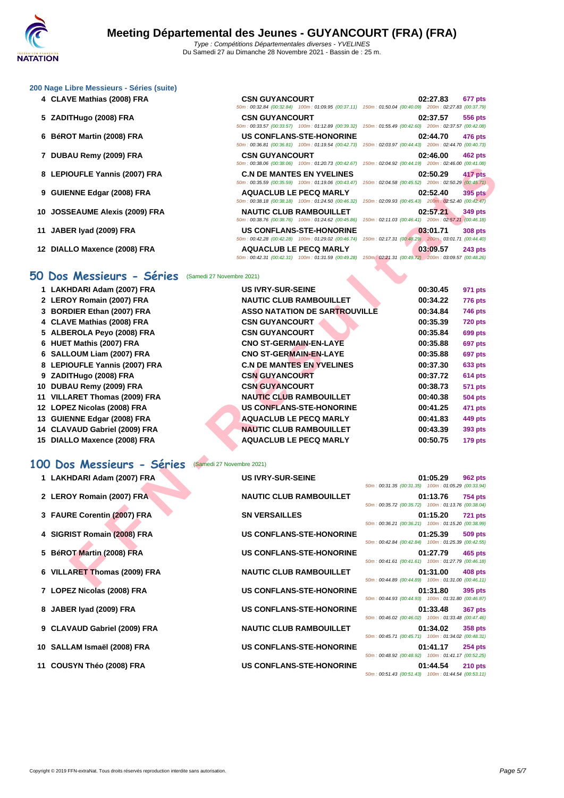50m : 00:32.84 (00:32.84) 100m : 01:09.95 (00:37.11) 150m : 01:50.04 (00:40.09) 200m : 02:27.83 (00:37.79)

50m : 00:33.57 (00:33.57) 100m : 01:12.89 (00:39.32) 150m : 01:55.49 (00:42.60) 200m : 02:37.57 (00:42.08)

50m : 00:36.81 (00:36.81) 100m : 01:19.54 (00:42.73) 150m : 02:03.97 (00:44.43) 200m : 02:44.70 (00:40.73)

50m : 00:38.06 (00:38.06) 100m : 01:20.73 (00:42.67) 150m : 02:04.92 (00:44.19) 200m : 02:46.00 (00:41.08)

#### **[200 Nage](http://www.ffnatation.fr/webffn/index.php) Libre Messieurs - Séries (suite)**

- **4 CLAVE Mathias (2008) FRA CSN GUYANCOURT 02:27.83 677 pts**
- **5 ZADITHugo (2008) FRA CSN GUYANCOURT 02:37.57 556 pts**
- **6 BéROT Martin (2008) FRA US CONFLANS-STE-HONORINE 02:44.70 476 pts**
- **7 DUBAU Remy (2009) FRA CSN GUYANCOURT 02:46.00 462 pts**
- **8 LEPIOUFLE Yannis (2007) FRA C.N DE MANTES EN YVELINES 02:50.29 417 pts**
- **9 GUIENNE Edgar (2008) FRA AQUACLUB LE PECQ MARLY 02:52.40 395 pts**
- **10 JOSSEAUME Alexis (2009) FRA NAUTIC CLUB RAMBOUILLET 02:57.21 349 pts**
- **11 JABER Iyad (2009) FRA US CONFLANS-STE-HONORINE 03:01.71 308 pts**
- **12 DIALLO Maxence (2008) FRA AQUACLUB LE PECQ MARLY 03:09.57 243 pts**

## **50 Dos Messieurs - Séries** (Samedi 27 Novembre 2021)

|                                | $100111.02.04.32$ $100.44.131$                                                                                                                 |                                                                                  |
|--------------------------------|------------------------------------------------------------------------------------------------------------------------------------------------|----------------------------------------------------------------------------------|
| 8 LEPIOUFLE Yannis (2007) FRA  | <b>C.N DE MANTES EN YVELINES</b><br>50m : 00:35.59 (00:35.59) 100m : 01:19.06 (00:43.47) 150m : 02:04.58 (00:45.52) 200m : 02:50.29 (00:45.71) | 02:50.29<br>417 pts                                                              |
| 9 GUIENNE Edgar (2008) FRA     | <b>AQUACLUB LE PECQ MARLY</b><br>50m: 00:38.18 (00:38.18) 100m: 01:24.50 (00:46.32) 150m: 02:09.93 (00:45.43) 200m: 02:52.40 (00:42.47)        | 395 pts<br>02:52.40                                                              |
| 10 JOSSEAUME Alexis (2009) FRA | <b>NAUTIC CLUB RAMBOUILLET</b><br>50m: 00:38.76 (00:38.76) 100m: 01:24.62 (00:45.86)                                                           | 02:57.21<br>349 pts<br>150m: 02:11.03 (00:46.41) 200m: 02:57.21 (00:46.18)       |
| 11 JABER Iyad (2009) FRA       | <b>US CONFLANS-STE-HONORINE</b><br>50m: 00:42.28 (00:42.28) 100m: 01:29.02 (00:46.74) 150m: 02:17.31 (00:48.29) 200m: 03:01.71 (00:44.40)      | 03:01.71<br><b>308 pts</b>                                                       |
| 12 DIALLO Maxence (2008) FRA   | <b>AQUACLUB LE PECQ MARLY</b><br>50m: 00:42.31 (00:42.31) 100m: 01:31.59 (00:49.28) 150m: 02:21.31 (00:49.72) 200m: 03:09.57 (00:48.26)        | 03:09.57<br><b>243 pts</b>                                                       |
| 0 Dos Messieurs - Séries       | (Samedi 27 Novembre 2021)                                                                                                                      |                                                                                  |
| 1 LAKHDARI Adam (2007) FRA     | <b>US IVRY-SUR-SEINE</b>                                                                                                                       | 00:30.45<br>971 pts                                                              |
| 2 LEROY Romain (2007) FRA      | <b>NAUTIC CLUB RAMBOUILLET</b>                                                                                                                 | 00:34.22<br><b>776 pts</b>                                                       |
| 3 BORDIER Ethan (2007) FRA     | <b>ASSO NATATION DE SARTROUVILLE</b>                                                                                                           | 00:34.84<br><b>746 pts</b>                                                       |
| 4 CLAVE Mathias (2008) FRA     | <b>CSN GUYANCOURT</b>                                                                                                                          | 00:35.39<br><b>720 pts</b>                                                       |
| 5 ALBEROLA Peyo (2008) FRA     | <b>CSN GUYANCOURT</b>                                                                                                                          | 00:35.84<br><b>699 pts</b>                                                       |
| 6 HUET Mathis (2007) FRA       | <b>CNO ST-GERMAIN-EN-LAYE</b>                                                                                                                  | 00:35.88<br>697 pts                                                              |
| 6 SALLOUM Liam (2007) FRA      | <b>CNO ST-GERMAIN-EN-LAYE</b>                                                                                                                  | 00:35.88<br>697 pts                                                              |
| 8 LEPIOUFLE Yannis (2007) FRA  | <b>C.N DE MANTES EN YVELINES</b>                                                                                                               | 00:37.30<br>633 pts                                                              |
| 9 ZADITHugo (2008) FRA         | <b>CSN GUYANCOURT</b>                                                                                                                          | 00:37.72<br><b>614 pts</b>                                                       |
| 10 DUBAU Remy (2009) FRA       | <b>CSN GUYANCOURT</b>                                                                                                                          | 00:38.73<br><b>571 pts</b>                                                       |
| 11 VILLARET Thomas (2009) FRA  | <b>NAUTIC CLUB RAMBOUILLET</b>                                                                                                                 | 00:40.38<br>504 pts                                                              |
| 12 LOPEZ Nicolas (2008) FRA    | US CONFLANS-STE-HONORINE                                                                                                                       | 00:41.25<br>471 pts                                                              |
| 13 GUIENNE Edgar (2008) FRA    | <b>AQUACLUB LE PECQ MARLY</b>                                                                                                                  | 00:41.83<br>449 pts                                                              |
| 14 CLAVAUD Gabriel (2009) FRA  | <b>NAUTIC CLUB RAMBOUILLET</b>                                                                                                                 | 00:43.39<br>393 pts                                                              |
| 15 DIALLO Maxence (2008) FRA   | <b>AQUACLUB LE PECQ MARLY</b>                                                                                                                  | 00:50.75<br><b>179 pts</b>                                                       |
| 00 Dos Messieurs - Séries      | (Samedi 27 Novembre 2021)                                                                                                                      |                                                                                  |
| 1 LAKHDARI Adam (2007) FRA     | <b>US IVRY-SUR-SEINE</b>                                                                                                                       | 01:05.29<br><b>962 pts</b><br>50m: 00:31.35 (00:31.35) 100m: 01:05.29 (00:33.94) |
| 2 LEROY Romain (2007) FRA      | <b>NAUTIC CLUB RAMBOUILLET</b>                                                                                                                 | 01:13.76<br><b>754 pts</b><br>50m: 00:35.72 (00:35.72) 100m: 01:13.76 (00:38.04) |
| 3 FAURE Corentin (2007) FRA    | <b>SN VERSAILLES</b>                                                                                                                           | 01:15.20<br><b>721 pts</b><br>50m: 00:36.21 (00:36.21) 100m: 01:15.20 (00:38.99) |
| 4 SIGRIST Romain (2008) FRA    | <b>US CONFLANS-STE-HONORINE</b>                                                                                                                | 01:25.39<br><b>509 pts</b><br>50m: 00:42.84 (00:42.84) 100m: 01:25.39 (00:42.55) |
| 5 BéROT Martin (2008) FRA      | <b>US CONFLANS-STE-HONORINE</b>                                                                                                                | 01:27.79<br>465 pts<br>50m: 00:41.61 (00:41.61) 100m: 01:27.79 (00:46.18)        |
| 6 VILLARET Thomas (2009) FRA   | <b>NAUTIC CLUB RAMBOUILLET</b>                                                                                                                 | 01:31.00<br><b>408 pts</b><br>50m: 00:44.89 (00:44.89) 100m: 01:31.00 (00:46.11) |
|                                |                                                                                                                                                |                                                                                  |

#### **100 Dos Messieurs - Séries** (Samedi 27 Novembre 2021)

| 1 LAKHDARI Adam (2007) FRA | <b>US IVRY-SUR-SEINE</b>                                                                                                                                                                                                                                                                                  | 01:05.29 | <b>962 pts</b>                                                                                                                                                                                                                                                                                                                                                                                                                                                                                                                                                                                                                                                                                                                                                 |
|----------------------------|-----------------------------------------------------------------------------------------------------------------------------------------------------------------------------------------------------------------------------------------------------------------------------------------------------------|----------|----------------------------------------------------------------------------------------------------------------------------------------------------------------------------------------------------------------------------------------------------------------------------------------------------------------------------------------------------------------------------------------------------------------------------------------------------------------------------------------------------------------------------------------------------------------------------------------------------------------------------------------------------------------------------------------------------------------------------------------------------------------|
|                            | <b>NAUTIC CLUB RAMBOUILLET</b>                                                                                                                                                                                                                                                                            |          | 754 pts                                                                                                                                                                                                                                                                                                                                                                                                                                                                                                                                                                                                                                                                                                                                                        |
|                            | <b>SN VERSAILLES</b>                                                                                                                                                                                                                                                                                      |          | <b>721 pts</b>                                                                                                                                                                                                                                                                                                                                                                                                                                                                                                                                                                                                                                                                                                                                                 |
|                            | US CONFLANS-STE-HONORINE                                                                                                                                                                                                                                                                                  |          | 509 pts                                                                                                                                                                                                                                                                                                                                                                                                                                                                                                                                                                                                                                                                                                                                                        |
|                            | US CONFLANS-STE-HONORINE                                                                                                                                                                                                                                                                                  |          | 465 pts                                                                                                                                                                                                                                                                                                                                                                                                                                                                                                                                                                                                                                                                                                                                                        |
|                            | <b>NAUTIC CLUB RAMBOUILLET</b>                                                                                                                                                                                                                                                                            |          | 408 pts                                                                                                                                                                                                                                                                                                                                                                                                                                                                                                                                                                                                                                                                                                                                                        |
|                            | US CONFLANS-STE-HONORINE                                                                                                                                                                                                                                                                                  |          | 395 pts                                                                                                                                                                                                                                                                                                                                                                                                                                                                                                                                                                                                                                                                                                                                                        |
|                            | US CONFLANS-STE-HONORINE                                                                                                                                                                                                                                                                                  |          | <b>367 pts</b>                                                                                                                                                                                                                                                                                                                                                                                                                                                                                                                                                                                                                                                                                                                                                 |
|                            | <b>NAUTIC CLUB RAMBOUILLET</b>                                                                                                                                                                                                                                                                            |          | 358 pts                                                                                                                                                                                                                                                                                                                                                                                                                                                                                                                                                                                                                                                                                                                                                        |
|                            | US CONFLANS-STE-HONORINE                                                                                                                                                                                                                                                                                  |          | <b>254 pts</b>                                                                                                                                                                                                                                                                                                                                                                                                                                                                                                                                                                                                                                                                                                                                                 |
|                            | US CONFLANS-STE-HONORINE                                                                                                                                                                                                                                                                                  |          | <b>210 pts</b>                                                                                                                                                                                                                                                                                                                                                                                                                                                                                                                                                                                                                                                                                                                                                 |
|                            | 2 LEROY Romain (2007) FRA<br>3 FAURE Corentin (2007) FRA<br>4 SIGRIST Romain (2008) FRA<br>5 BéROT Martin (2008) FRA<br>6 VILLARET Thomas (2009) FRA<br>7 LOPEZ Nicolas (2008) FRA<br>8 JABER Iyad (2009) FRA<br>9 CLAVAUD Gabriel (2009) FRA<br>10 SALLAM Ismaël (2008) FRA<br>11 COUSYN Théo (2008) FRA |          | 50m: 00:31.35 (00:31.35) 100m: 01:05.29 (00:33.94)<br>01:13.76<br>50m: 00:35.72 (00:35.72) 100m: 01:13.76 (00:38.04)<br>01:15.20<br>50m: 00:36.21 (00:36.21) 100m: 01:15.20 (00:38.99)<br>01:25.39<br>50m: 00:42.84 (00:42.84) 100m: 01:25.39 (00:42.55)<br>01:27.79<br>50m: 00:41.61 (00:41.61) 100m: 01:27.79 (00:46.18)<br>01:31.00<br>50m: 00:44.89 (00:44.89) 100m: 01:31.00 (00:46.11)<br>01:31.80<br>50m: 00:44.93 (00:44.93) 100m: 01:31.80 (00:46.87)<br>01:33.48<br>50m: 00:46.02 (00:46.02) 100m: 01:33.48 (00:47.46)<br>01:34.02<br>50m: 00:45.71 (00:45.71) 100m: 01:34.02 (00:48.31)<br>01:41.17<br>50m: 00:48.92 (00:48.92) 100m: 01:41.17 (00:52.25)<br>01:44.54<br>$E0 \rightarrow 00.54 49 (00.54 49)$ $400 \rightarrow 04.44 54 (00.50 44)$ |

|                                                    | 01:05.29 962 pts |  |
|----------------------------------------------------|------------------|--|
| 50m: 00:31.35 (00:31.35) 100m: 01:05.29 (00:33.94) |                  |  |
|                                                    | 01:13.76 754 pts |  |
| 50m: 00:35.72 (00:35.72) 100m: 01:13.76 (00:38.04) |                  |  |
|                                                    | 01:15.20 721 pts |  |
| 50m: 00:36.21 (00:36.21) 100m: 01:15.20 (00:38.99) |                  |  |
|                                                    | 01:25.39 509 pts |  |
| 50m: 00:42.84 (00:42.84) 100m: 01:25.39 (00:42.55) |                  |  |
|                                                    | 01:27.79 465 pts |  |
| 50m: 00:41.61 (00:41.61) 100m: 01:27.79 (00:46.18) |                  |  |
|                                                    | 01:31.00 408 pts |  |
| 50m: 00:44.89 (00:44.89) 100m: 01:31.00 (00:46.11) |                  |  |
|                                                    | 01:31.80 395 pts |  |
| 50m: 00:44.93 (00:44.93) 100m: 01:31.80 (00:46.87) |                  |  |
|                                                    | 01:33.48 367 pts |  |
| 50m: 00:46.02 (00:46.02) 100m: 01:33.48 (00:47.46) |                  |  |
|                                                    | 01:34.02 358 pts |  |
| 50m: 00:45.71 (00:45.71) 100m: 01:34.02 (00:48.31) |                  |  |
|                                                    | 01:41.17 254 pts |  |
| 50m: 00:48.92 (00:48.92) 100m: 01:41.17 (00:52.25) |                  |  |
|                                                    | 01:44.54 210 pts |  |
| 50m: 00:51.43 (00:51.43) 100m: 01:44.54 (00:53.11) |                  |  |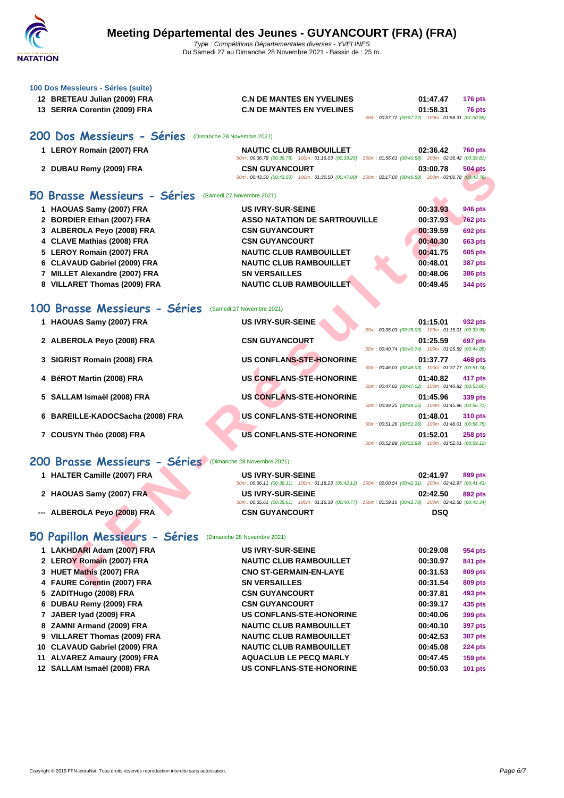

| 100 Dos Messieurs - Séries (suite)  |                                                                                                                                          |                                                                           |
|-------------------------------------|------------------------------------------------------------------------------------------------------------------------------------------|---------------------------------------------------------------------------|
| 12 BRETEAU Julian (2009) FRA        | <b>C.N DE MANTES EN YVELINES</b>                                                                                                         | 01:47.47<br><b>176 pts</b>                                                |
| 13 SERRA Corentin (2009) FRA        | <b>C.N DE MANTES EN YVELINES</b>                                                                                                         | 01:58.31<br>76 pts<br>50m: 00:57.72 (00:57.72) 100m: 01:58.31 (01:00.59)  |
| 200 Dos Messieurs - Séries          | (Dimanche 28 Novembre 2021)                                                                                                              |                                                                           |
|                                     |                                                                                                                                          |                                                                           |
| 1 LEROY Romain (2007) FRA           | <b>NAUTIC CLUB RAMBOUILLET</b><br>50m: 00:36.78 (00:36.78) 100m: 01:16.03 (00:39.25) 150m: 01:56.61 (00:40.58) 200m: 02:36.42 (00:39.81) | 02:36.42<br><b>760 pts</b>                                                |
| 2 DUBAU Remy (2009) FRA             | <b>CSN GUYANCOURT</b>                                                                                                                    | 03:00.78<br><b>504 pts</b>                                                |
|                                     | 50m : 00:43.50 (00:43.50) 100m : 01:30.50 (00:47.00) 150m : 02:17.00 (00:46.50) 200m : 03:00.78 (00:43.78)                               |                                                                           |
| Brasse Messieurs - Séries<br>50     | (Samedi 27 Novembre 2021)                                                                                                                |                                                                           |
| 1 HAOUAS Samy (2007) FRA            | <b>US IVRY-SUR-SEINE</b>                                                                                                                 | 00:33.93<br>946 pts                                                       |
| 2 BORDIER Ethan (2007) FRA          | <b>ASSO NATATION DE SARTROUVILLE</b>                                                                                                     | 00:37.93<br><b>762 pts</b>                                                |
| 3 ALBEROLA Peyo (2008) FRA          | <b>CSN GUYANCOURT</b>                                                                                                                    | 00:39.59<br><b>692 pts</b>                                                |
| 4 CLAVE Mathias (2008) FRA          | <b>CSN GUYANCOURT</b>                                                                                                                    | 00:40.30<br><b>663 pts</b>                                                |
| 5 LEROY Romain (2007) FRA           | <b>NAUTIC CLUB RAMBOUILLET</b>                                                                                                           | 00:41.75<br><b>605 pts</b>                                                |
| 6 CLAVAUD Gabriel (2009) FRA        | <b>NAUTIC CLUB RAMBOUILLET</b>                                                                                                           | 00:48.01<br><b>387 pts</b>                                                |
| 7 MILLET Alexandre (2007) FRA       | <b>SN VERSAILLES</b>                                                                                                                     | 00:48.06<br><b>386 pts</b>                                                |
| 8 VILLARET Thomas (2009) FRA        | <b>NAUTIC CLUB RAMBOUILLET</b>                                                                                                           | 00:49.45<br>344 pts                                                       |
|                                     |                                                                                                                                          |                                                                           |
| 100 Brasse Messieurs - Séries       | (Samedi 27 Novembre 2021)                                                                                                                |                                                                           |
| 1 HAOUAS Samy (2007) FRA            | <b>US IVRY-SUR-SEINE</b>                                                                                                                 | 01:15.01<br>932 pts                                                       |
|                                     |                                                                                                                                          | 50m: 00:35.03 (00:35.03) 100m: 01:15.01 (00:39.98)                        |
| 2 ALBEROLA Peyo (2008) FRA          | <b>CSN GUYANCOURT</b>                                                                                                                    | 01:25.59<br>697 pts                                                       |
|                                     |                                                                                                                                          | 50m: 00:40.74 (00:40.74) 100m: 01:25.59 (00:44.85)                        |
| 3 SIGRIST Romain (2008) FRA         | US CONFLANS-STE-HONORINE                                                                                                                 | 01:37.77<br>468 pts                                                       |
|                                     |                                                                                                                                          | 50m: 00:46.03 (00:46.03) 100m: 01:37.77 (00:51.74)                        |
| 4 BéROT Martin (2008) FRA           | <b>US CONFLANS-STE-HONORINE</b>                                                                                                          | 01:40.82<br>417 pts<br>50m: 00:47.02 (00:47.02) 100m: 01:40.82 (00:53.80) |
| 5 SALLAM Ismaël (2008) FRA          | US CONFLANS-STE-HONORINE                                                                                                                 | 01:45.96<br>339 pts                                                       |
|                                     |                                                                                                                                          | 50m: 00:49.25 (00:49.25) 100m: 01:45.96 (00:56.71)                        |
| BAREILLE-KADOCSacha (2008) FRA<br>6 | <b>US CONFLANS-STE-HONORINE</b>                                                                                                          | 01:48.01<br>310 pts                                                       |
|                                     |                                                                                                                                          | 50m: 00:51.26 (00:51.26) 100m: 01:48.01 (00:56.75)                        |
| 7 COUSYN Théo (2008) FRA            | <b>US CONFLANS-STE-HONORINE</b>                                                                                                          | 01:52.01<br><b>258 pts</b>                                                |
|                                     |                                                                                                                                          | 50m: 00:52.89 (00:52.89) 100m: 01:52.01 (00:59.12)                        |
| 200 Brasse Messieurs - Séries       | (Dimanche 28 Novembre 2021)                                                                                                              |                                                                           |
| 1 HALTER Camille (2007) FRA         | <b>US IVRY-SUR-SEINE</b>                                                                                                                 | 02:41.97<br>899 pts                                                       |
|                                     | 50m: 00:36.11 (00:36.11) 100m: 01:18.23 (00:42.12) 150m: 02:00.54 (00:42.31) 200m: 02:41.97 (00:41.43)                                   |                                                                           |
| 2 HAOUAS Samy (2007) FRA            | <b>US IVRY-SUR-SEINE</b>                                                                                                                 | 02:42.50<br>892 pts                                                       |
|                                     | 50m: 00:35.61 (00:35.61) 100m: 01:16.38 (00:40.77) 150m: 01:59.16 (00:42.78) 200m: 02:42.50 (00:43.34)                                   |                                                                           |
| --- ALBEROLA Peyo (2008) FRA        | <b>CSN GUYANCOURT</b>                                                                                                                    | <b>DSQ</b>                                                                |
|                                     |                                                                                                                                          |                                                                           |
| 50 Papillon Messieurs - Séries      | (Dimanche 28 Novembre 2021)                                                                                                              |                                                                           |
| 1 LAKHDARI Adam (2007) FRA          | <b>US IVRY-SUR-SEINE</b>                                                                                                                 | 954 pts<br>00:29.08                                                       |
| 2 LEROY Romain (2007) FRA           | <b>NAUTIC CLUB RAMBOUILLET</b>                                                                                                           | 00:30.97<br>841 pts                                                       |
| 3 HUET Mathis (2007) FRA            | <b>CNO ST-GERMAIN-EN-LAYE</b>                                                                                                            | 00:31.53<br>809 pts                                                       |
| 4 FAURE Corentin (2007) FRA         | <b>SN VERSAILLES</b>                                                                                                                     | 00:31.54<br>809 pts                                                       |
| 5 ZADITHugo (2008) FRA              | <b>CSN GUYANCOURT</b>                                                                                                                    | 00:37.81<br>493 pts                                                       |
| 6 DUBAU Remy (2009) FRA             | <b>CSN GUYANCOURT</b>                                                                                                                    | 00:39.17<br>435 pts                                                       |
| 7 JABER Iyad (2009) FRA             | <b>US CONFLANS-STE-HONORINE</b>                                                                                                          | 00:40.06<br>399 pts                                                       |
|                                     |                                                                                                                                          |                                                                           |

- **8 ZAMNI Armand (2009) FRA NAUTIC CLUB RAMBOUILLET 00:40.10 397 pts**
- **9 VILLARET Thomas (2009) FRA NAUTIC CLUB RAMBOUILLET 00:42.53 307 pts**
- **10 CLAVAUD Gabriel (2009) FRA NAUTIC CLUB RAMBOUILLET 00:45.08 224 pts**
- **11 ALVAREZ Amaury (2009) FRA AQUACLUB LE PECQ MARLY 00:47.45 159 pts**
- **12 SALLAM Ismaël (2008) FRA US CONFLANS-STE-HONORINE 00:50.03 101 pts**